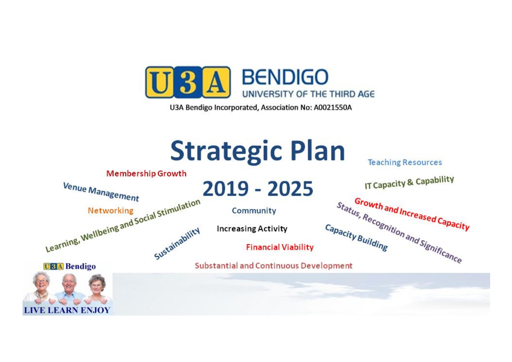

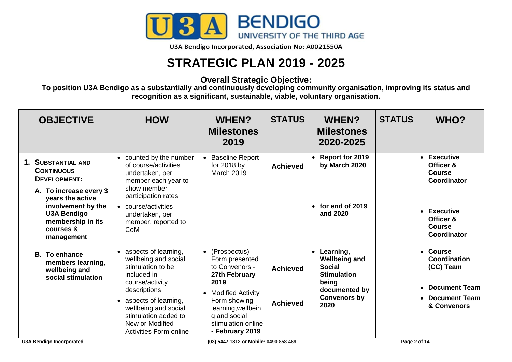

## **STRATEGIC PLAN 2019 - 2025**

## **Overall Strategic Objective:**

**To position U3A Bendigo as a substantially and continuously developing community organisation, improving its status and recognition as a significant, sustainable, viable, voluntary organisation.**

| <b>OBJECTIVE</b>                                                                                                                                                                                  | <b>HOW</b>                                                                                                                                                                                                                                   | <b>WHEN?</b><br><b>Milestones</b><br>2019                                                                                                                                                         | <b>STATUS</b>                      | <b>WHEN?</b><br><b>Milestones</b><br>2020-2025                                                                                                 | <b>STATUS</b> | WHO?                                                                                                                                       |
|---------------------------------------------------------------------------------------------------------------------------------------------------------------------------------------------------|----------------------------------------------------------------------------------------------------------------------------------------------------------------------------------------------------------------------------------------------|---------------------------------------------------------------------------------------------------------------------------------------------------------------------------------------------------|------------------------------------|------------------------------------------------------------------------------------------------------------------------------------------------|---------------|--------------------------------------------------------------------------------------------------------------------------------------------|
| 1. SUBSTANTIAL AND<br><b>CONTINUOUS</b><br>DEVELOPMENT:<br>A. To increase every 3<br>years the active<br>involvement by the<br><b>U3A Bendigo</b><br>membership in its<br>courses &<br>management | • counted by the number<br>of course/activities<br>undertaken, per<br>member each year to<br>show member<br>participation rates<br>• course/activities<br>undertaken, per<br>member, reported to<br>CoM                                      | <b>Baseline Report</b><br>for 2018 by<br><b>March 2019</b>                                                                                                                                        | <b>Achieved</b>                    | <b>Report for 2019</b><br>$\bullet$<br>by March 2020<br>for end of 2019<br>$\bullet$<br>and 2020                                               |               | • Executive<br>Officer &<br><b>Course</b><br>Coordinator<br><b>Executive</b><br>Officer &<br><b>Course</b><br>Coordinator                  |
| <b>B.</b> To enhance<br>members learning,<br>wellbeing and<br>social stimulation                                                                                                                  | • aspects of learning,<br>wellbeing and social<br>stimulation to be<br>included in<br>course/activity<br>descriptions<br>• aspects of learning,<br>wellbeing and social<br>stimulation added to<br>New or Modified<br>Activities Form online | • (Prospectus)<br>Form presented<br>to Convenors -<br>27th February<br>2019<br>• Modified Activity<br>Form showing<br>learning, wellbein<br>g and social<br>stimulation online<br>- February 2019 | <b>Achieved</b><br><b>Achieved</b> | Learning,<br>$\bullet$<br><b>Wellbeing and</b><br><b>Social</b><br><b>Stimulation</b><br>being<br>documented by<br><b>Convenors by</b><br>2020 |               | <b>Course</b><br>$\bullet$<br><b>Coordination</b><br>(CC) Team<br><b>Document Team</b><br>$\bullet$<br><b>Document Team</b><br>& Convenors |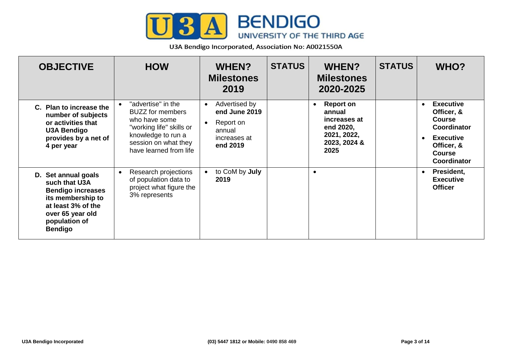

| <b>OBJECTIVE</b>                                                                                                                                                   | <b>HOW</b>                                                                                                                                                                      | <b>WHEN?</b><br><b>Milestones</b><br>2019                                                      | <b>STATUS</b> | <b>WHEN?</b><br><b>Milestones</b><br>2020-2025                                                              | <b>STATUS</b> | WHO?                                                                                                                                                 |
|--------------------------------------------------------------------------------------------------------------------------------------------------------------------|---------------------------------------------------------------------------------------------------------------------------------------------------------------------------------|------------------------------------------------------------------------------------------------|---------------|-------------------------------------------------------------------------------------------------------------|---------------|------------------------------------------------------------------------------------------------------------------------------------------------------|
| C. Plan to increase the<br>number of subjects<br>or activities that<br><b>U3A Bendigo</b><br>provides by a net of<br>4 per year                                    | "advertise" in the<br>$\bullet$<br><b>BUZZ</b> for members<br>who have some<br>"working life" skills or<br>knowledge to run a<br>session on what they<br>have learned from life | Advertised by<br>$\bullet$<br>end June 2019<br>Report on<br>annual<br>increases at<br>end 2019 |               | <b>Report on</b><br>$\bullet$<br>annual<br>increases at<br>end 2020,<br>2021, 2022,<br>2023, 2024 &<br>2025 |               | <b>Executive</b><br>$\bullet$<br>Officer, &<br><b>Course</b><br><b>Coordinator</b><br><b>Executive</b><br>Officer, &<br><b>Course</b><br>Coordinator |
| D. Set annual goals<br>such that U3A<br><b>Bendigo increases</b><br>its membership to<br>at least 3% of the<br>over 65 year old<br>population of<br><b>Bendigo</b> | Research projections<br>$\bullet$<br>of population data to<br>project what figure the<br>3% represents                                                                          | to CoM by July<br>2019                                                                         |               | $\bullet$                                                                                                   |               | President,<br>$\bullet$<br><b>Executive</b><br><b>Officer</b>                                                                                        |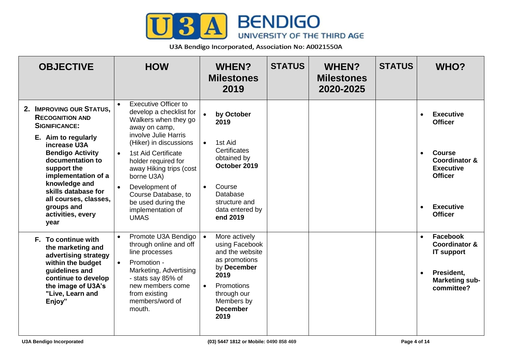

| <b>OBJECTIVE</b>                                                                                                                                                                                                                                                                                                   | <b>HOW</b>                                                                                                                                                                                                                                                                                                                                               | <b>WHEN?</b><br><b>Milestones</b><br>2019                                                                                                                                                  | <b>STATUS</b> | <b>WHEN?</b><br><b>Milestones</b><br>2020-2025 | <b>STATUS</b> | WHO?                                                                                                                                                                                               |
|--------------------------------------------------------------------------------------------------------------------------------------------------------------------------------------------------------------------------------------------------------------------------------------------------------------------|----------------------------------------------------------------------------------------------------------------------------------------------------------------------------------------------------------------------------------------------------------------------------------------------------------------------------------------------------------|--------------------------------------------------------------------------------------------------------------------------------------------------------------------------------------------|---------------|------------------------------------------------|---------------|----------------------------------------------------------------------------------------------------------------------------------------------------------------------------------------------------|
| 2. IMPROVING OUR STATUS,<br><b>RECOGNITION AND</b><br><b>SIGNIFICANCE:</b><br>E. Aim to regularly<br>increase U3A<br><b>Bendigo Activity</b><br>documentation to<br>support the<br>implementation of a<br>knowledge and<br>skills database for<br>all courses, classes,<br>groups and<br>activities, every<br>year | <b>Executive Officer to</b><br>develop a checklist for<br>Walkers when they go<br>away on camp,<br>involve Julie Harris<br>(Hiker) in discussions<br>1st Aid Certificate<br>$\bullet$<br>holder required for<br>away Hiking trips (cost<br>borne U3A)<br>Development of<br>Course Database, to<br>be used during the<br>implementation of<br><b>UMAS</b> | $\bullet$<br>by October<br>2019<br>1st Aid<br>$\bullet$<br>Certificates<br>obtained by<br>October 2019<br>Course<br>$\bullet$<br>Database<br>structure and<br>data entered by<br>end 2019  |               |                                                |               | <b>Executive</b><br>$\bullet$<br><b>Officer</b><br><b>Course</b><br>$\bullet$<br><b>Coordinator &amp;</b><br><b>Executive</b><br><b>Officer</b><br><b>Executive</b><br>$\bullet$<br><b>Officer</b> |
| F. To continue with<br>the marketing and<br>advertising strategy<br>within the budget<br>guidelines and<br>continue to develop<br>the image of U3A's<br>"Live, Learn and<br>Enjoy"                                                                                                                                 | Promote U3A Bendigo<br>$\bullet$<br>through online and off<br>line processes<br>Promotion -<br>$\bullet$<br>Marketing, Advertising<br>- stats say 85% of<br>new members come<br>from existing<br>members/word of<br>mouth.                                                                                                                               | More actively<br>$\bullet$<br>using Facebook<br>and the website<br>as promotions<br>by December<br>2019<br>Promotions<br>$\bullet$<br>through our<br>Members by<br><b>December</b><br>2019 |               |                                                |               | Facebook<br>$\bullet$<br><b>Coordinator &amp;</b><br><b>IT support</b><br>President,<br>$\bullet$<br><b>Marketing sub-</b><br>committee?                                                           |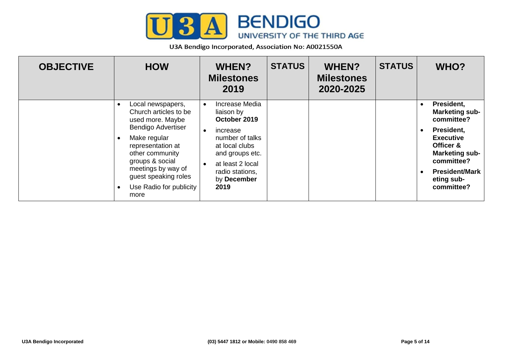

| <b>OBJECTIVE</b> | <b>HOW</b>                                                                                                                                                                                                                                              | <b>WHEN?</b><br><b>Milestones</b><br>2019                                                                                                                                      | <b>STATUS</b> | <b>WHEN?</b><br><b>Milestones</b><br>2020-2025 | <b>STATUS</b> | WHO?                                                                                                                                                                                                                                |
|------------------|---------------------------------------------------------------------------------------------------------------------------------------------------------------------------------------------------------------------------------------------------------|--------------------------------------------------------------------------------------------------------------------------------------------------------------------------------|---------------|------------------------------------------------|---------------|-------------------------------------------------------------------------------------------------------------------------------------------------------------------------------------------------------------------------------------|
|                  | Local newspapers,<br>Church articles to be<br>used more. Maybe<br><b>Bendigo Advertiser</b><br>Make regular<br>representation at<br>other community<br>groups & social<br>meetings by way of<br>guest speaking roles<br>Use Radio for publicity<br>more | Increase Media<br>liaison by<br>October 2019<br>increase<br>number of talks<br>at local clubs<br>and groups etc.<br>at least 2 local<br>radio stations,<br>by December<br>2019 |               |                                                |               | President,<br>$\bullet$<br><b>Marketing sub-</b><br>committee?<br>President,<br>$\bullet$<br><b>Executive</b><br>Officer &<br><b>Marketing sub-</b><br>committee?<br><b>President/Mark</b><br>$\bullet$<br>eting sub-<br>committee? |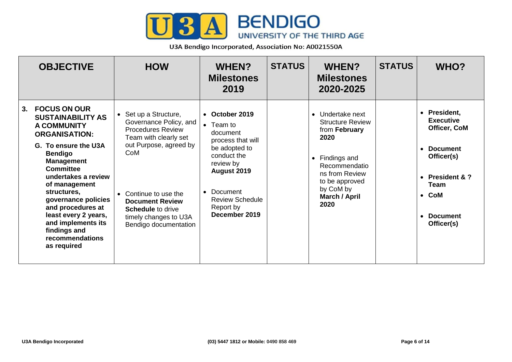

|    | <b>OBJECTIVE</b>                                                                                                                                                                                                                                                                                                                                                                    | <b>HOW</b>                                                                                                                                                                                                                                                             | <b>WHEN?</b><br><b>Milestones</b><br>2019                                                                                                                                                            | <b>STATUS</b> | <b>WHEN?</b><br><b>Milestones</b><br>2020-2025                                                                                                                                                          | <b>STATUS</b> | WHO?                                                                                                                                                                         |
|----|-------------------------------------------------------------------------------------------------------------------------------------------------------------------------------------------------------------------------------------------------------------------------------------------------------------------------------------------------------------------------------------|------------------------------------------------------------------------------------------------------------------------------------------------------------------------------------------------------------------------------------------------------------------------|------------------------------------------------------------------------------------------------------------------------------------------------------------------------------------------------------|---------------|---------------------------------------------------------------------------------------------------------------------------------------------------------------------------------------------------------|---------------|------------------------------------------------------------------------------------------------------------------------------------------------------------------------------|
| 3. | <b>FOCUS ON OUR</b><br><b>SUSTAINABILITY AS</b><br><b>A COMMUNITY</b><br><b>ORGANISATION:</b><br>G. To ensure the U3A<br><b>Bendigo</b><br><b>Management</b><br><b>Committee</b><br>undertakes a review<br>of management<br>structures,<br>governance policies<br>and procedures at<br>least every 2 years,<br>and implements its<br>findings and<br>recommendations<br>as required | • Set up a Structure,<br>Governance Policy, and<br><b>Procedures Review</b><br>Team with clearly set<br>out Purpose, agreed by<br>CoM<br>• Continue to use the<br><b>Document Review</b><br><b>Schedule to drive</b><br>timely changes to U3A<br>Bendigo documentation | • October 2019<br>$\bullet$ Team to<br>document<br>process that will<br>be adopted to<br>conduct the<br>review by<br>August 2019<br>Document<br><b>Review Schedule</b><br>Report by<br>December 2019 |               | Undertake next<br>$\bullet$<br><b>Structure Review</b><br>from February<br>2020<br>Findings and<br>$\bullet$<br>Recommendatio<br>ns from Review<br>to be approved<br>by CoM by<br>March / April<br>2020 |               | <b>President,</b><br><b>Executive</b><br>Officer, CoM<br><b>Document</b><br>Officer(s)<br>• President & $?$<br><b>Team</b><br>$\bullet$ CoM<br><b>Document</b><br>Officer(s) |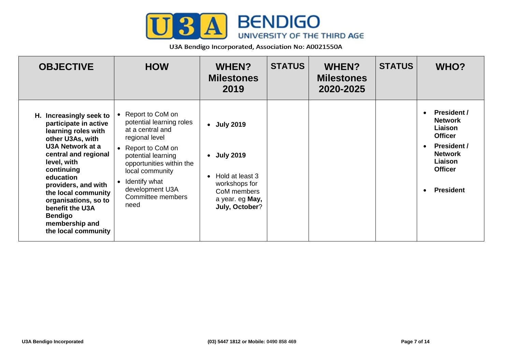

| <b>OBJECTIVE</b>                                                                                                                                                                                                                                                                                                                      | <b>HOW</b>                                                                                                                                                                                                                                         | WHEN?<br><b>Milestones</b><br>2019                                                                                                   | <b>STATUS</b> | <b>WHEN?</b><br><b>Milestones</b><br>2020-2025 | <b>STATUS</b> | WHO?                                                                                                                                                       |
|---------------------------------------------------------------------------------------------------------------------------------------------------------------------------------------------------------------------------------------------------------------------------------------------------------------------------------------|----------------------------------------------------------------------------------------------------------------------------------------------------------------------------------------------------------------------------------------------------|--------------------------------------------------------------------------------------------------------------------------------------|---------------|------------------------------------------------|---------------|------------------------------------------------------------------------------------------------------------------------------------------------------------|
| H. Increasingly seek to<br>participate in active<br>learning roles with<br>other U3As, with<br>U3A Network at a<br>central and regional<br>level, with<br>continuing<br>education<br>providers, and with<br>the local community<br>organisations, so to<br>benefit the U3A<br><b>Bendigo</b><br>membership and<br>the local community | • Report to CoM on<br>potential learning roles<br>at a central and<br>regional level<br>• Report to CoM on<br>potential learning<br>opportunities within the<br>local community<br>• Identify what<br>development U3A<br>Committee members<br>need | • July 2019<br><b>July 2019</b><br>$\bullet$<br>Hold at least 3<br>workshops for<br>CoM members<br>a year. eg May,<br>July, October? |               |                                                |               | <b>President /</b><br><b>Network</b><br>Liaison<br><b>Officer</b><br><b>President /</b><br><b>Network</b><br>Liaison<br><b>Officer</b><br><b>President</b> |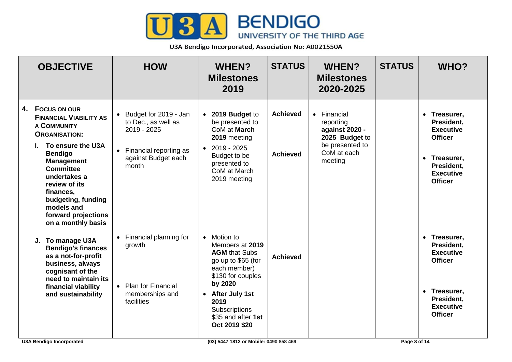

| <b>OBJECTIVE</b>                                                                                                                                                                                                                                                                                                              | <b>HOW</b>                                                                                                                | <b>WHEN?</b><br><b>Milestones</b><br>2019                                                                                                                                                                                              | <b>STATUS</b>                      | <b>WHEN?</b><br><b>Milestones</b><br>2020-2025                                                            | <b>STATUS</b> | <b>WHO?</b>                                                                                                                          |
|-------------------------------------------------------------------------------------------------------------------------------------------------------------------------------------------------------------------------------------------------------------------------------------------------------------------------------|---------------------------------------------------------------------------------------------------------------------------|----------------------------------------------------------------------------------------------------------------------------------------------------------------------------------------------------------------------------------------|------------------------------------|-----------------------------------------------------------------------------------------------------------|---------------|--------------------------------------------------------------------------------------------------------------------------------------|
| <b>FOCUS ON OUR</b><br>4.<br><b>FINANCIAL VIABILITY AS</b><br><b>A COMMUNITY</b><br><b>ORGANISATION:</b><br>To ensure the U3A<br>L.<br><b>Bendigo</b><br><b>Management</b><br><b>Committee</b><br>undertakes a<br>review of its<br>finances,<br>budgeting, funding<br>models and<br>forward projections<br>on a monthly basis | • Budget for 2019 - Jan<br>to Dec., as well as<br>2019 - 2025<br>• Financial reporting as<br>against Budget each<br>month | 2019 Budget to<br>$\bullet$<br>be presented to<br>CoM at March<br>2019 meeting<br>2019 - 2025<br>$\bullet$<br>Budget to be<br>presented to<br>CoM at March<br>2019 meeting                                                             | <b>Achieved</b><br><b>Achieved</b> | • Financial<br>reporting<br>against 2020 -<br>2025 Budget to<br>be presented to<br>CoM at each<br>meeting |               | • Treasurer,<br>President.<br><b>Executive</b><br><b>Officer</b><br>• Treasurer,<br>President,<br><b>Executive</b><br><b>Officer</b> |
| J. To manage U3A<br><b>Bendigo's finances</b><br>as a not-for-profit<br>business, always<br>cognisant of the<br>need to maintain its<br>financial viability<br>and sustainability                                                                                                                                             | • Financial planning for<br>growth<br>• Plan for Financial<br>memberships and<br>facilities                               | Motion to<br>$\bullet$<br>Members at 2019<br><b>AGM that Subs</b><br>go up to \$65 (for<br>each member)<br>\$130 for couples<br>by 2020<br>After July 1st<br>$\bullet$<br>2019<br>Subscriptions<br>\$35 and after 1st<br>Oct 2019 \$20 | <b>Achieved</b>                    |                                                                                                           |               | • Treasurer,<br>President.<br><b>Executive</b><br><b>Officer</b><br>• Treasurer,<br>President,<br><b>Executive</b><br><b>Officer</b> |
| <b>U3A Bendigo Incorporated</b>                                                                                                                                                                                                                                                                                               |                                                                                                                           | (03) 5447 1812 or Mobile: 0490 858 469                                                                                                                                                                                                 |                                    |                                                                                                           | Page 8 of 14  |                                                                                                                                      |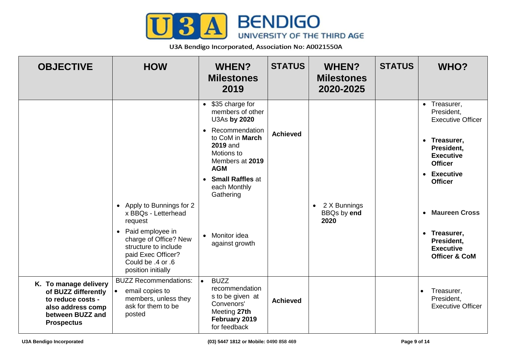

| <b>OBJECTIVE</b>                                                                                                                | <b>HOW</b>                                                                                                                                                                                          | <b>WHEN?</b><br><b>Milestones</b><br>2019                                                                                                                                                                                                                                                                | <b>STATUS</b>   | <b>WHEN?</b><br><b>Milestones</b><br>2020-2025 | <b>STATUS</b> | WHO?                                                                                                                                                                                                                                                         |
|---------------------------------------------------------------------------------------------------------------------------------|-----------------------------------------------------------------------------------------------------------------------------------------------------------------------------------------------------|----------------------------------------------------------------------------------------------------------------------------------------------------------------------------------------------------------------------------------------------------------------------------------------------------------|-----------------|------------------------------------------------|---------------|--------------------------------------------------------------------------------------------------------------------------------------------------------------------------------------------------------------------------------------------------------------|
|                                                                                                                                 | • Apply to Bunnings for 2<br>x BBQs - Letterhead<br>request<br>• Paid employee in<br>charge of Office? New<br>structure to include<br>paid Exec Officer?<br>Could be .4 or .6<br>position initially | \$35 charge for<br>$\bullet$<br>members of other<br>U3As by 2020<br>Recommendation<br>$\bullet$<br>to CoM in March<br><b>2019 and</b><br>Motions to<br>Members at 2019<br><b>AGM</b><br><b>Small Raffles at</b><br>$\bullet$<br>each Monthly<br>Gathering<br>Monitor idea<br>$\bullet$<br>against growth | <b>Achieved</b> | $\bullet$ 2 X Bunnings<br>BBQs by end<br>2020  |               | • Treasurer,<br>President,<br><b>Executive Officer</b><br>• Treasurer,<br>President,<br><b>Executive</b><br><b>Officer</b><br>• Executive<br><b>Officer</b><br>• Maureen Cross<br>• Treasurer,<br>President,<br><b>Executive</b><br><b>Officer &amp; CoM</b> |
| K. To manage delivery<br>of BUZZ differently<br>to reduce costs -<br>also address comp<br>between BUZZ and<br><b>Prospectus</b> | <b>BUZZ Recommendations:</b><br>email copies to<br>members, unless they<br>ask for them to be<br>posted                                                                                             | <b>BUZZ</b><br>$\bullet$<br>recommendation<br>s to be given at<br>Convenors'<br>Meeting 27th<br>February 2019<br>for feedback                                                                                                                                                                            | <b>Achieved</b> |                                                |               | Treasurer,<br>$\bullet$<br>President,<br><b>Executive Officer</b>                                                                                                                                                                                            |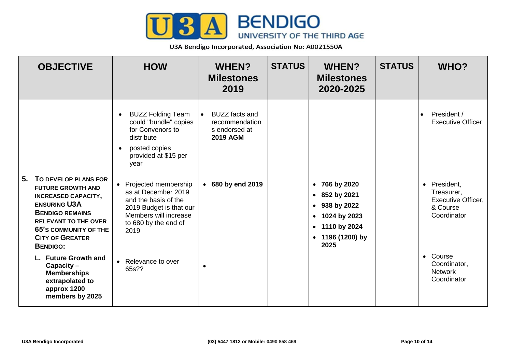

| <b>OBJECTIVE</b>                                                                                                                                                                                                                                  | <b>HOW</b>                                                                                                                                                | <b>WHEN?</b><br><b>Milestones</b><br>2019                                   | <b>STATUS</b> | <b>WHEN?</b><br><b>Milestones</b><br>2020-2025                                                                                                    | <b>STATUS</b> | WHO?                                                                                          |
|---------------------------------------------------------------------------------------------------------------------------------------------------------------------------------------------------------------------------------------------------|-----------------------------------------------------------------------------------------------------------------------------------------------------------|-----------------------------------------------------------------------------|---------------|---------------------------------------------------------------------------------------------------------------------------------------------------|---------------|-----------------------------------------------------------------------------------------------|
|                                                                                                                                                                                                                                                   | <b>BUZZ Folding Team</b><br>could "bundle" copies<br>for Convenors to<br>distribute<br>posted copies<br>$\bullet$<br>provided at \$15 per<br>year         | <b>BUZZ</b> facts and<br>recommendation<br>s endorsed at<br><b>2019 AGM</b> |               |                                                                                                                                                   |               | President /<br>$\bullet$<br><b>Executive Officer</b>                                          |
| 5.<br>TO DEVELOP PLANS FOR<br><b>FUTURE GROWTH AND</b><br><b>INCREASED CAPACITY,</b><br><b>ENSURING U3A</b><br><b>BENDIGO REMAINS</b><br><b>RELEVANT TO THE OVER</b><br><b>65'S COMMUNITY OF THE</b><br><b>CITY OF GREATER</b><br><b>BENDIGO:</b> | • Projected membership<br>as at December 2019<br>and the basis of the<br>2019 Budget is that our<br>Members will increase<br>to 680 by the end of<br>2019 | • 680 by end 2019                                                           |               | • 766 by 2020<br>• 852 by 2021<br>$-938$ by 2022<br>1024 by 2023<br>$\bullet$<br>1110 by 2024<br>$\bullet$<br>1196 (1200) by<br>$\bullet$<br>2025 |               | President,<br>$\bullet$<br>Treasurer,<br><b>Executive Officer,</b><br>& Course<br>Coordinator |
| <b>Future Growth and</b><br>Capacity -<br><b>Memberships</b><br>extrapolated to<br>approx 1200<br>members by 2025                                                                                                                                 | • Relevance to over<br>65s??                                                                                                                              | $\bullet$                                                                   |               |                                                                                                                                                   |               | • Course<br>Coordinator,<br><b>Network</b><br>Coordinator                                     |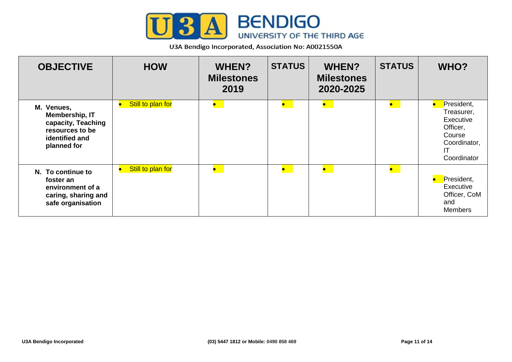

| <b>OBJECTIVE</b>                                                                                       | <b>HOW</b>                     | <b>WHEN?</b><br><b>Milestones</b><br>2019 | <b>STATUS</b> | <b>WHEN?</b><br><b>Milestones</b><br>2020-2025 | <b>STATUS</b>       | WHO?                                                                                             |
|--------------------------------------------------------------------------------------------------------|--------------------------------|-------------------------------------------|---------------|------------------------------------------------|---------------------|--------------------------------------------------------------------------------------------------|
| M. Venues,<br>Membership, IT<br>capacity, Teaching<br>resources to be<br>identified and<br>planned for | Still to plan for<br>$\bullet$ | $\bullet$                                 | $\bullet$     | $\bullet$                                      | $\bullet$           | President,<br>Treasurer,<br>Executive<br>Officer,<br>Course<br>Coordinator,<br>IT<br>Coordinator |
| N. To continue to<br>foster an<br>environment of a<br>caring, sharing and<br>safe organisation         | Still to plan for<br>$\bullet$ | $\bullet$                                 | $\bullet$     | $\bullet$                                      | $\bullet$ $\bullet$ | President,<br>Executive<br>Officer, CoM<br>and<br><b>Members</b>                                 |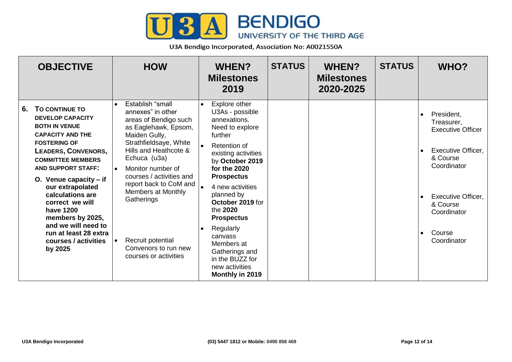

| <b>OBJECTIVE</b>                                                                                                                                                                                                                                                                                                                                                                                                     | <b>HOW</b>                                                                                                                                                                                                                                                                                                                                                                                | <b>WHEN?</b><br><b>Milestones</b><br>2019                                                                                                                                                                                                                                                                                                                                                         | <b>STATUS</b> | <b>WHEN?</b><br><b>Milestones</b><br>2020-2025 | <b>STATUS</b> | <b>WHO?</b>                                                                                                                                                                                                |
|----------------------------------------------------------------------------------------------------------------------------------------------------------------------------------------------------------------------------------------------------------------------------------------------------------------------------------------------------------------------------------------------------------------------|-------------------------------------------------------------------------------------------------------------------------------------------------------------------------------------------------------------------------------------------------------------------------------------------------------------------------------------------------------------------------------------------|---------------------------------------------------------------------------------------------------------------------------------------------------------------------------------------------------------------------------------------------------------------------------------------------------------------------------------------------------------------------------------------------------|---------------|------------------------------------------------|---------------|------------------------------------------------------------------------------------------------------------------------------------------------------------------------------------------------------------|
| TO CONTINUE TO<br>6.<br><b>DEVELOP CAPACITY</b><br><b>BOTH IN VENUE</b><br><b>CAPACITY AND THE</b><br><b>FOSTERING OF</b><br>LEADERS, CONVENORS,<br><b>COMMITTEE MEMBERS</b><br><b>AND SUPPORT STAFF:</b><br>O. Venue capacity $-$ if<br>our extrapolated<br>calculations are<br>correct we will<br>have 1200<br>members by 2025,<br>and we will need to<br>run at least 28 extra<br>courses / activities<br>by 2025 | Establish "small<br>$\bullet$<br>annexes" in other<br>areas of Bendigo such<br>as Eaglehawk, Epsom,<br>Maiden Gully,<br>Strathfieldsaye, White<br>Hills and Heathcote &<br>Echuca (u3a)<br>Monitor number of<br>$\bullet$<br>courses / activities and<br>report back to CoM and<br>Members at Monthly<br>Gatherings<br>Recruit potential<br>Convenors to run new<br>courses or activities | Explore other<br>$\bullet$<br>U3As - possible<br>annexations.<br>Need to explore<br>further<br>Retention of<br>existing activities<br>by October 2019<br>for the 2020<br><b>Prospectus</b><br>4 new activities<br>planned by<br>October 2019 for<br>the 2020<br><b>Prospectus</b><br>Regularly<br>canvass<br>Members at<br>Gatherings and<br>in the BUZZ for<br>new activities<br>Monthly in 2019 |               |                                                |               | President,<br>Treasurer,<br><b>Executive Officer</b><br><b>Executive Officer,</b><br>& Course<br>Coordinator<br><b>Executive Officer,</b><br>& Course<br>Coordinator<br>Course<br>$\bullet$<br>Coordinator |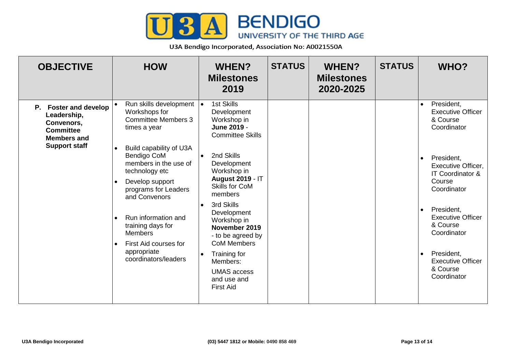

| <b>OBJECTIVE</b>                                                                                                     | <b>HOW</b>                                                                                                                                                                                                                                                                                                                                                                                            | <b>WHEN?</b><br><b>Milestones</b><br>2019                                                                                                                                                                                                                                                                                                                                                                            | <b>STATUS</b> | <b>WHEN?</b><br><b>Milestones</b><br>2020-2025 | <b>STATUS</b> | WHO?                                                                                                                                                                                                                                                                                                                                       |
|----------------------------------------------------------------------------------------------------------------------|-------------------------------------------------------------------------------------------------------------------------------------------------------------------------------------------------------------------------------------------------------------------------------------------------------------------------------------------------------------------------------------------------------|----------------------------------------------------------------------------------------------------------------------------------------------------------------------------------------------------------------------------------------------------------------------------------------------------------------------------------------------------------------------------------------------------------------------|---------------|------------------------------------------------|---------------|--------------------------------------------------------------------------------------------------------------------------------------------------------------------------------------------------------------------------------------------------------------------------------------------------------------------------------------------|
| P. Foster and develop<br>Leadership,<br>Convenors,<br><b>Committee</b><br><b>Members and</b><br><b>Support staff</b> | Run skills development<br>Workshops for<br><b>Committee Members 3</b><br>times a year<br>Build capability of U3A<br><b>Bendigo CoM</b><br>members in the use of<br>technology etc<br>Develop support<br>programs for Leaders<br>and Convenors<br>Run information and<br>$\bullet$<br>training days for<br><b>Members</b><br>First Aid courses for<br>$\bullet$<br>appropriate<br>coordinators/leaders | 1st Skills<br>$\bullet$<br>Development<br>Workshop in<br>June 2019 -<br><b>Committee Skills</b><br>2nd Skills<br>$\bullet$<br>Development<br>Workshop in<br><b>August 2019 - IT</b><br><b>Skills for CoM</b><br>members<br>3rd Skills<br>Development<br>Workshop in<br>November 2019<br>- to be agreed by<br><b>CoM Members</b><br>Training for<br>Members:<br><b>UMAS</b> access<br>and use and<br><b>First Aid</b> |               |                                                |               | President,<br>$\bullet$<br><b>Executive Officer</b><br>& Course<br>Coordinator<br>President,<br>$\bullet$<br><b>Executive Officer,</b><br>IT Coordinator &<br>Course<br>Coordinator<br>President,<br>$\bullet$<br><b>Executive Officer</b><br>& Course<br>Coordinator<br>President,<br><b>Executive Officer</b><br>& Course<br>Coordinator |
|                                                                                                                      |                                                                                                                                                                                                                                                                                                                                                                                                       |                                                                                                                                                                                                                                                                                                                                                                                                                      |               |                                                |               |                                                                                                                                                                                                                                                                                                                                            |